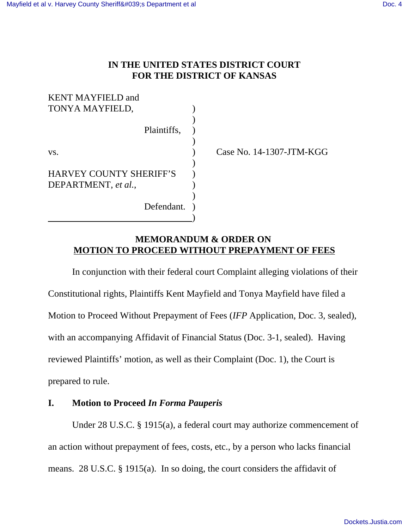## **IN THE UNITED STATES DISTRICT COURT FOR THE DISTRICT OF KANSAS**

| <b>KENT MAYFIELD and</b><br>TONYA MAYFIELD,           |  |
|-------------------------------------------------------|--|
| Plaintiffs,                                           |  |
| VS.                                                   |  |
| <b>HARVEY COUNTY SHERIFF'S</b><br>DEPARTMENT, et al., |  |
| Defendant.                                            |  |

Case No. 14-1307-JTM-KGG

## **MEMORANDUM & ORDER ON MOTION TO PROCEED WITHOUT PREPAYMENT OF FEES**

In conjunction with their federal court Complaint alleging violations of their Constitutional rights, Plaintiffs Kent Mayfield and Tonya Mayfield have filed a Motion to Proceed Without Prepayment of Fees (*IFP* Application, Doc. 3, sealed), with an accompanying Affidavit of Financial Status (Doc. 3-1, sealed). Having reviewed Plaintiffs' motion, as well as their Complaint (Doc. 1), the Court is prepared to rule.

## **I. Motion to Proceed** *In Forma Pauperis*

Under 28 U.S.C. § 1915(a), a federal court may authorize commencement of an action without prepayment of fees, costs, etc., by a person who lacks financial means. 28 U.S.C. § 1915(a). In so doing, the court considers the affidavit of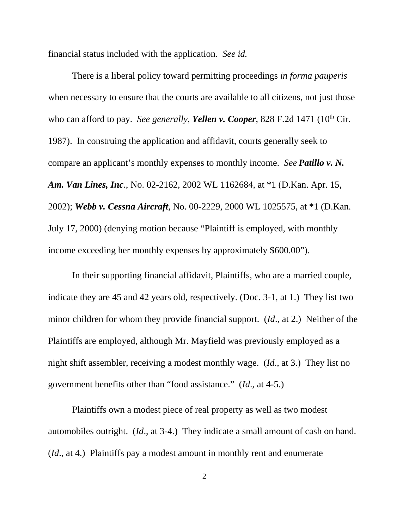financial status included with the application. *See id.*

There is a liberal policy toward permitting proceedings *in forma pauperis* when necessary to ensure that the courts are available to all citizens, not just those who can afford to pay. *See generally, Yellen v. Cooper*, 828 F.2d 1471 (10<sup>th</sup> Cir. 1987). In construing the application and affidavit, courts generally seek to compare an applicant's monthly expenses to monthly income. *See Patillo v. N. Am. Van Lines, Inc*., No. 02-2162, 2002 WL 1162684, at \*1 (D.Kan. Apr. 15, 2002); *Webb v. Cessna Aircraft*, No. 00-2229, 2000 WL 1025575, at \*1 (D.Kan. July 17, 2000) (denying motion because "Plaintiff is employed, with monthly income exceeding her monthly expenses by approximately \$600.00").

In their supporting financial affidavit, Plaintiffs, who are a married couple, indicate they are 45 and 42 years old, respectively. (Doc. 3-1, at 1.) They list two minor children for whom they provide financial support. (*Id*., at 2.) Neither of the Plaintiffs are employed, although Mr. Mayfield was previously employed as a night shift assembler, receiving a modest monthly wage. (*Id*., at 3.) They list no government benefits other than "food assistance." (*Id*., at 4-5.)

Plaintiffs own a modest piece of real property as well as two modest automobiles outright. (*Id*., at 3-4.) They indicate a small amount of cash on hand. (*Id*., at 4.) Plaintiffs pay a modest amount in monthly rent and enumerate